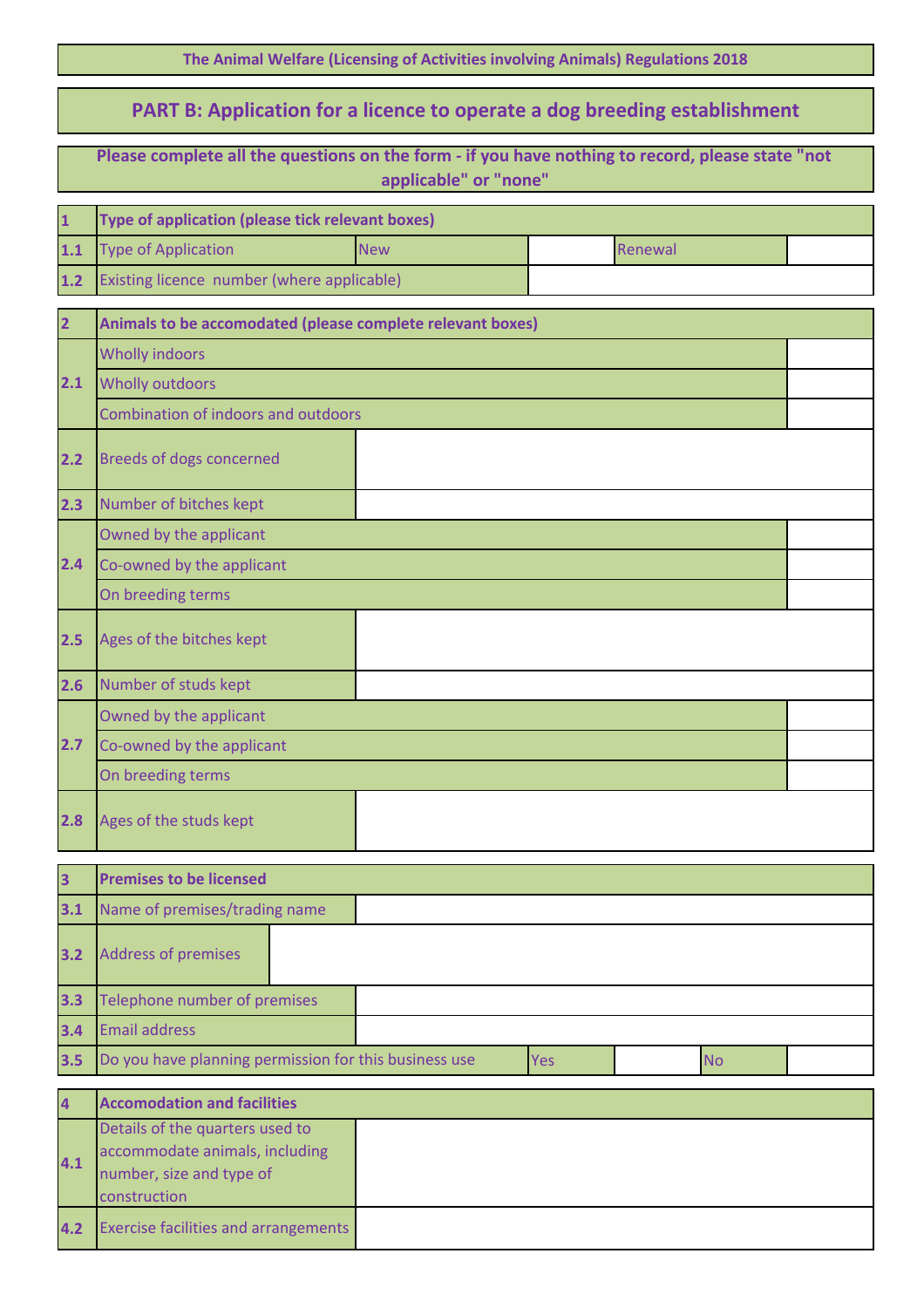| The Animal Welfare (Licensing of Activities involving Animals) Regulations 2018 |  |  |  |  |
|---------------------------------------------------------------------------------|--|--|--|--|
|---------------------------------------------------------------------------------|--|--|--|--|

## **PART B: Application for a licence to operate a dog breeding establishment**

|                           | Please complete all the questions on the form - if you have nothing to record, please state "not<br>applicable" or "none" |            |     |           |  |
|---------------------------|---------------------------------------------------------------------------------------------------------------------------|------------|-----|-----------|--|
| 1                         | Type of application (please tick relevant boxes)                                                                          |            |     |           |  |
| $\overline{\mathbf{1.1}}$ | <b>Type of Application</b>                                                                                                | <b>New</b> |     | Renewal   |  |
| $1.2$                     | Existing licence number (where applicable)                                                                                |            |     |           |  |
| $\overline{\mathbf{c}}$   | Animals to be accomodated (please complete relevant boxes)                                                                |            |     |           |  |
|                           | <b>Wholly indoors</b>                                                                                                     |            |     |           |  |
| $2.1$                     | <b>Wholly outdoors</b>                                                                                                    |            |     |           |  |
|                           | Combination of indoors and outdoors                                                                                       |            |     |           |  |
| 2.2                       | <b>Breeds of dogs concerned</b>                                                                                           |            |     |           |  |
| 2.3                       | Number of bitches kept                                                                                                    |            |     |           |  |
|                           | Owned by the applicant                                                                                                    |            |     |           |  |
| 2.4                       | Co-owned by the applicant                                                                                                 |            |     |           |  |
|                           | On breeding terms                                                                                                         |            |     |           |  |
| 2.5                       | Ages of the bitches kept                                                                                                  |            |     |           |  |
| 2.6                       | Number of studs kept                                                                                                      |            |     |           |  |
|                           | Owned by the applicant                                                                                                    |            |     |           |  |
| 2.7                       | Co-owned by the applicant                                                                                                 |            |     |           |  |
|                           | On breeding terms                                                                                                         |            |     |           |  |
| 2.8                       | Ages of the studs kept                                                                                                    |            |     |           |  |
| 3                         | <b>Premises to be licensed</b>                                                                                            |            |     |           |  |
| $3.1$                     | Name of premises/trading name                                                                                             |            |     |           |  |
| 3.2                       | <b>Address of premises</b>                                                                                                |            |     |           |  |
| 3.3                       | Telephone number of premises                                                                                              |            |     |           |  |
| $3.4$                     | <b>Email address</b>                                                                                                      |            |     |           |  |
| 3.5                       | Do you have planning permission for this business use                                                                     |            | Yes | <b>No</b> |  |
| 4                         | <b>Accomodation and facilities</b>                                                                                        |            |     |           |  |
| 4.1                       | Details of the quarters used to<br>accommodate animals, including<br>number, size and type of<br>construction             |            |     |           |  |
| 4.2                       | <b>Exercise facilities and arrangements</b>                                                                               |            |     |           |  |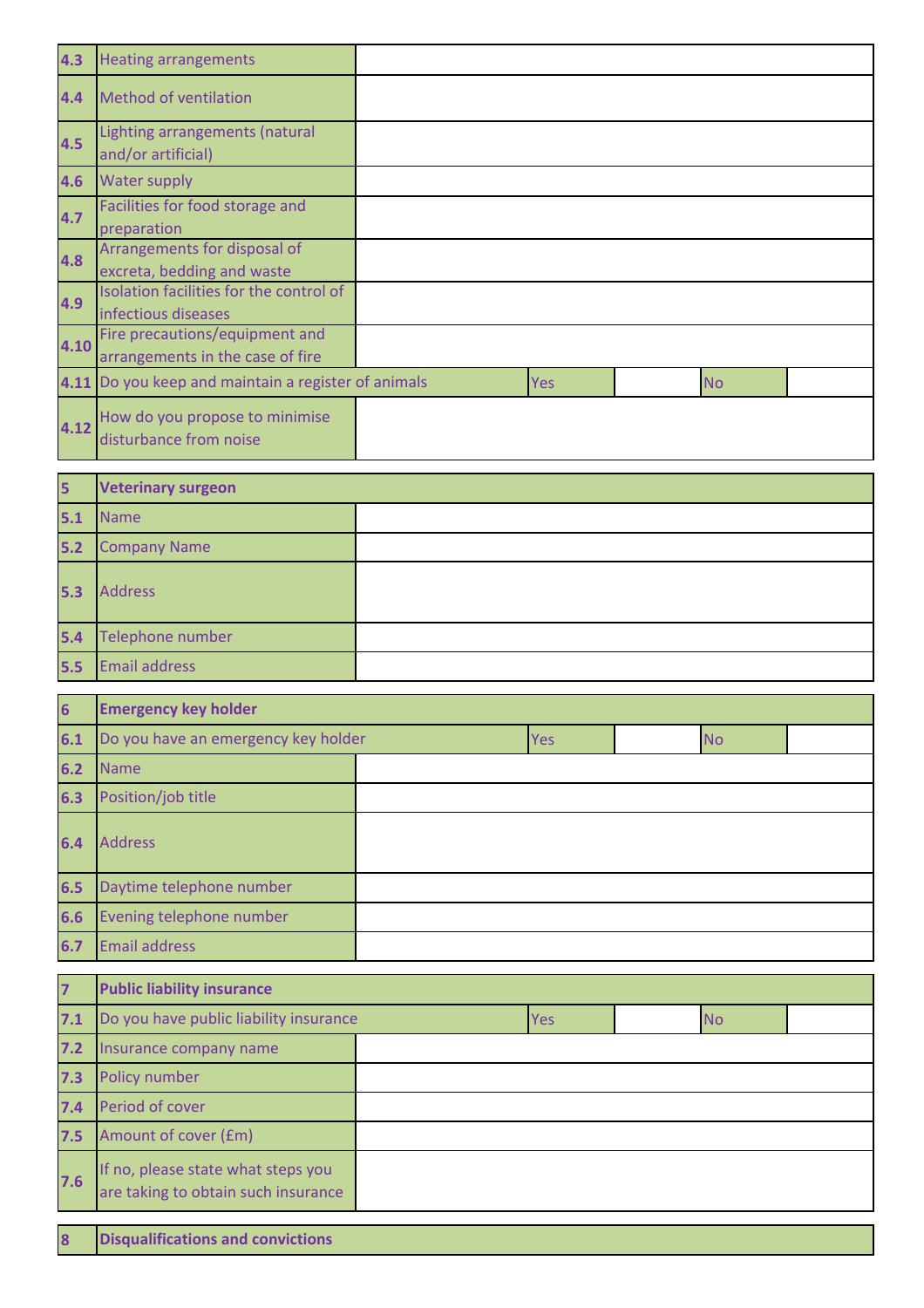| 4.3  | <b>Heating arrangements</b>                                        |     |           |  |
|------|--------------------------------------------------------------------|-----|-----------|--|
| 4.4  | Method of ventilation                                              |     |           |  |
| 4.5  | Lighting arrangements (natural<br>and/or artificial)               |     |           |  |
| 4.6  | <b>Water supply</b>                                                |     |           |  |
| 4.7  | Facilities for food storage and<br>preparation                     |     |           |  |
| 4.8  | Arrangements for disposal of<br>excreta, bedding and waste         |     |           |  |
| 4.9  | Isolation facilities for the control of<br>infectious diseases     |     |           |  |
| 4.10 | Fire precautions/equipment and<br>arrangements in the case of fire |     |           |  |
|      | 4.11 Do you keep and maintain a register of animals                | Yes | <b>No</b> |  |
| 4.12 | How do you propose to minimise<br>disturbance from noise           |     |           |  |

| 5     | <b>Veterinary surgeon</b> |  |
|-------|---------------------------|--|
| 5.1   | Name                      |  |
| $5.2$ | <b>Company Name</b>       |  |
| 5.3   | <b>Address</b>            |  |
| 5.4   | Telephone number          |  |
| 5.5   | <b>Email address</b>      |  |

| $6\overline{6}$ | <b>Emergency key holder</b>         |  |            |           |  |
|-----------------|-------------------------------------|--|------------|-----------|--|
| 6.1             | Do you have an emergency key holder |  | <b>Yes</b> | <b>No</b> |  |
| 6.2             | <b>Name</b>                         |  |            |           |  |
| 6.3             | Position/job title                  |  |            |           |  |
| 6.4             | <b>Address</b>                      |  |            |           |  |
| 6.5             | Daytime telephone number            |  |            |           |  |
| 6.6             | Evening telephone number            |  |            |           |  |
| 6.7             | <b>Email address</b>                |  |            |           |  |

| $\overline{7}$ | <b>Public liability insurance</b>                                         |  |            |           |  |
|----------------|---------------------------------------------------------------------------|--|------------|-----------|--|
| 7.1            | Do you have public liability insurance                                    |  | <b>Yes</b> | <b>No</b> |  |
| $7.2$          | Insurance company name                                                    |  |            |           |  |
| 7.3            | Policy number                                                             |  |            |           |  |
| 7.4            | Period of cover                                                           |  |            |           |  |
| 7.5            | Amount of cover (£m)                                                      |  |            |           |  |
| 7.6            | If no, please state what steps you<br>are taking to obtain such insurance |  |            |           |  |